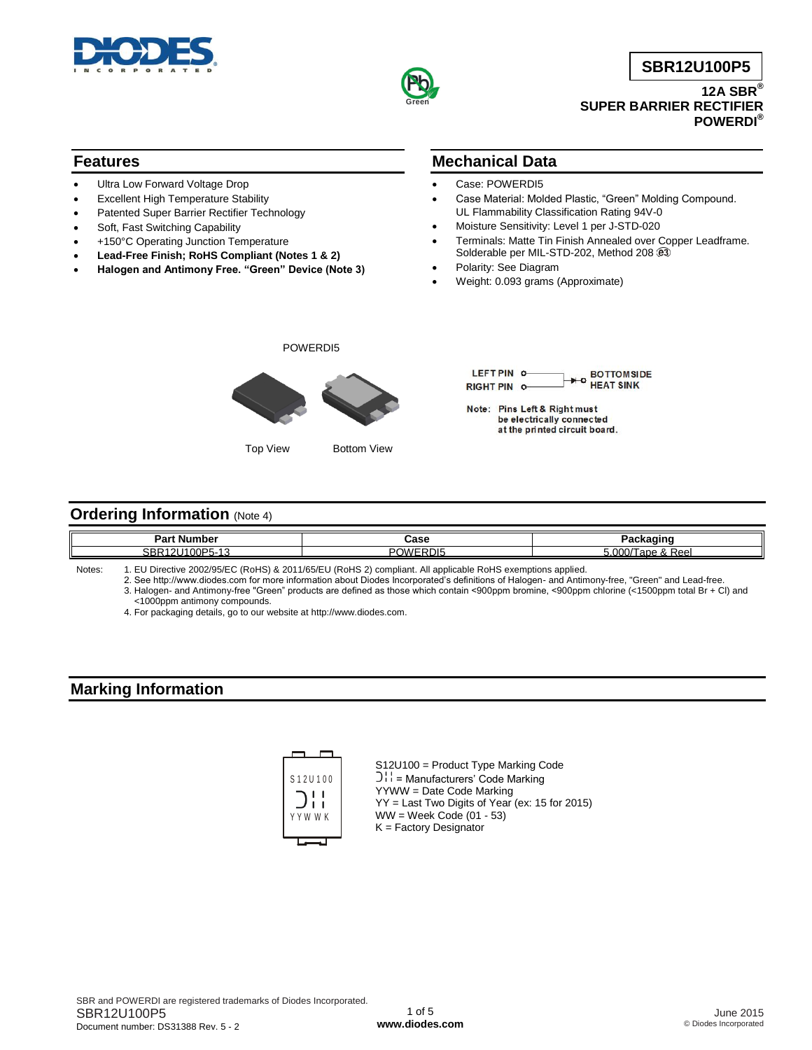



**SBR12U100P5**

**12A SBR® SUPER BARRIER RECTIFIER POWERDI®**

## **Features**

- Ultra Low Forward Voltage Drop
- Excellent High Temperature Stability
- Patented Super Barrier Rectifier Technology
- Soft, Fast Switching Capability
- +150°C Operating Junction Temperature
- **Lead-Free Finish; RoHS Compliant (Notes 1 & 2)**
- **Halogen and Antimony Free. "Green" Device (Note 3)**

### **Mechanical Data**

- Case: POWERDI5
- Case Material: Molded Plastic, "Green" Molding Compound. UL Flammability Classification Rating 94V-0
- Moisture Sensitivity: Level 1 per J-STD-020
- Terminals: Matte Tin Finish Annealed over Copper Leadframe. Solderable per MIL-STD-202, Method 208  $@3$
- Polarity: See Diagram
- Weight: 0.093 grams (Approximate)



Top View Bottom View



### **Ordering Information (Note 4)**

| ימס<br>. Number<br>∽arτ                                                        | Case                    | <b>Slamping</b>            |
|--------------------------------------------------------------------------------|-------------------------|----------------------------|
| IOOD5.<br>$\overline{\phantom{a}}$<br><b>SBR</b><br>. .<br>∼-<br>.<br>$\cdots$ | RD <sub>15</sub><br>. . | 7.000 ز<br>⊺ape &<br>n Ger |

Notes: 1. EU Directive 2002/95/EC (RoHS) & 2011/65/EU (RoHS 2) compliant. All applicable RoHS exemptions applied.

2. See [http://www.diodes.com fo](http://www.diodes.com)r more information about Diodes Incorporated's definitions of Halogen- and Antimony-free, "Green" and Lead-free.

3. Halogen- and Antimony-free "Green" products are defined as those which contain <900ppm bromine, <900ppm chlorine (<1500ppm total Br + Cl) and <1000ppm antimony compounds.

4. For packaging details, go to our website at [http://www.diodes.com.](http://www.diodes.com)

## **Marking Information**



S12U100 = Product Type Marking Code  $\bigcup_{i=1}^{n}$  = Manufacturers' Code Marking YYWW = Date Code Marking YY = Last Two Digits of Year (ex: 15 for 2015)  $WW =$  Week Code (01 - 53) K = Factory Designator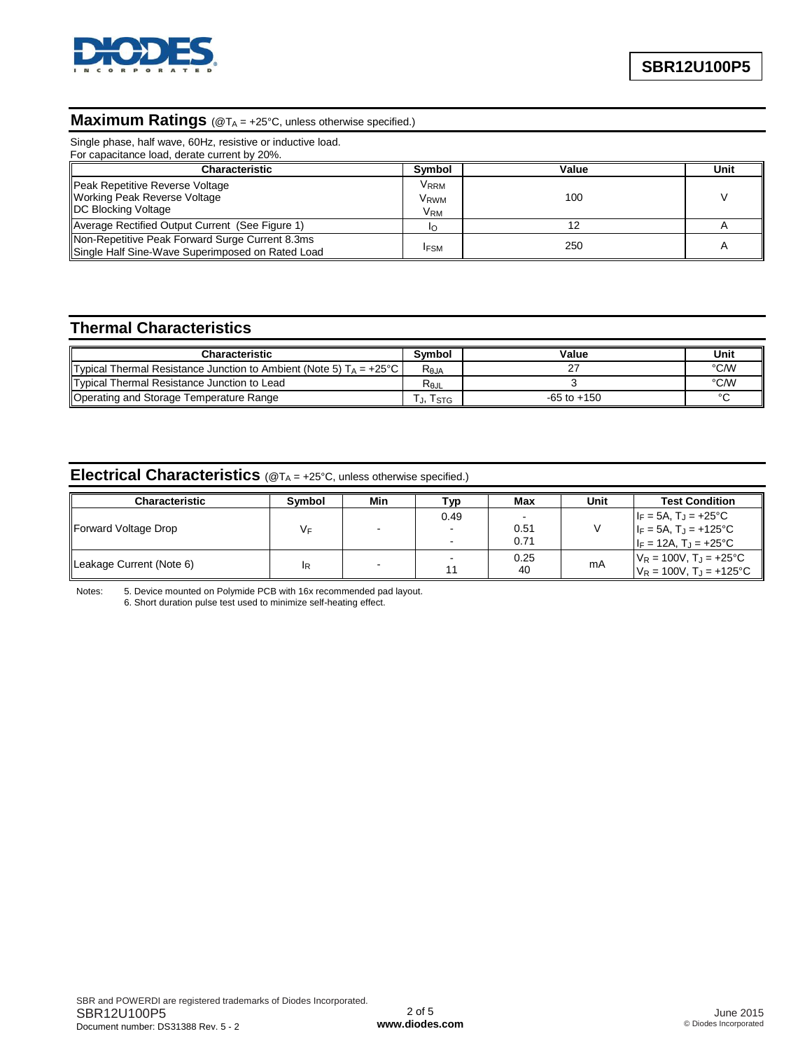

## **Maximum Ratings** (@TA = +25°C, unless otherwise specified.)

Single phase, half wave, 60Hz, resistive or inductive load.

| For capacitance load, derate current by 20%.                                                          |                                             |       |                |
|-------------------------------------------------------------------------------------------------------|---------------------------------------------|-------|----------------|
| <b>Characteristic</b>                                                                                 | Symbol                                      | Value | Unit           |
| Peak Repetitive Reverse Voltage<br><b>Working Peak Reverse Voltage</b><br><b>IDC Blocking Voltage</b> | V <sub>RRM</sub><br>V <sub>RWM</sub><br>VRM | 100   |                |
| Average Rectified Output Current (See Figure 1)                                                       |                                             |       |                |
| Non-Repetitive Peak Forward Surge Current 8.3ms<br>Single Half Sine-Wave Superimposed on Rated Load   | <b>IFSM</b>                                 | 250   | $\overline{A}$ |

# **Thermal Characteristics**

| Characteristic                                                                        | Symbol            | Value           | Unit   |
|---------------------------------------------------------------------------------------|-------------------|-----------------|--------|
|                                                                                       |                   |                 |        |
| <b>Typical Thermal Resistance Junction to Ambient (Note 5) T<sub>A</sub> = +25 °C</b> | $R_{0,IA}$        |                 | °C/W   |
| Typical Thermal Resistance Junction to Lead                                           | $R_{0,\text{IL}}$ |                 | °C/W   |
| Operating and Storage Temperature Range                                               | . J,I STG         | $-65$ to $+150$ | $\sim$ |

# **Electrical Characteristics** (@T<sup>A</sup> = +25°C, unless otherwise specified.)

| <b>Characteristic</b>    | <b>Symbol</b> | Min | Тур  | Max  | Unit | <b>Test Condition</b>               |
|--------------------------|---------------|-----|------|------|------|-------------------------------------|
| Forward Voltage Drop     | VF            |     | 0.49 |      |      | $I_F = 5A$ , $T_J = +25^{\circ}C$   |
|                          |               |     |      | 0.51 |      | $I_F = 5A$ , $T_J = +125$ °C        |
|                          |               |     |      | 0.71 |      | $I_F = 12A$ , $T_J = +25^{\circ}C$  |
| Leakage Current (Note 6) | ΙR            |     |      | 0.25 | mA   | $V_R = 100V$ , $T_J = +25^{\circ}C$ |
|                          |               |     |      | 40   |      | $V_R = 100V$ , $T_J = +125$ °C      |

Notes: 5. Device mounted on Polymide PCB with 16x recommended pad layout. 6. Short duration pulse test used to minimize self-heating effect.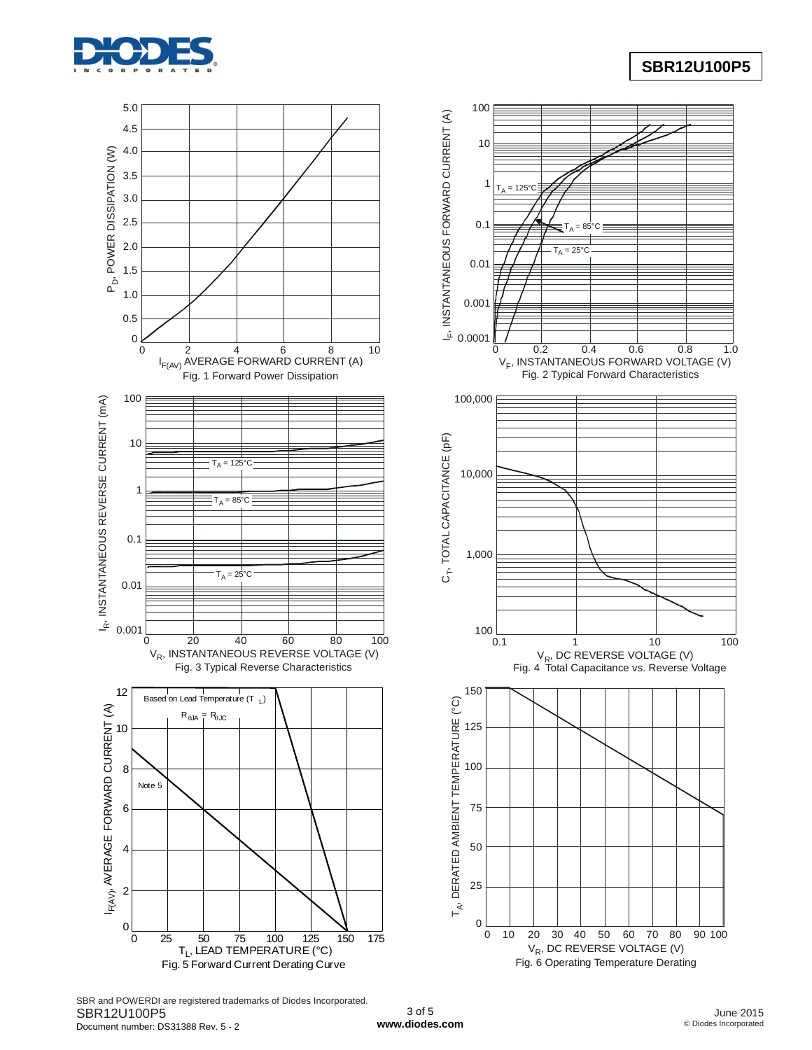

## **SBR12U100P5**



SBR and POWERDI are registered trademarks of Diodes Incorporated. SBR12U100P5 Document number: DS31388 Rev. 5 - 2

3 of 5 **[www.diodes.com](http://www.diodes.com)**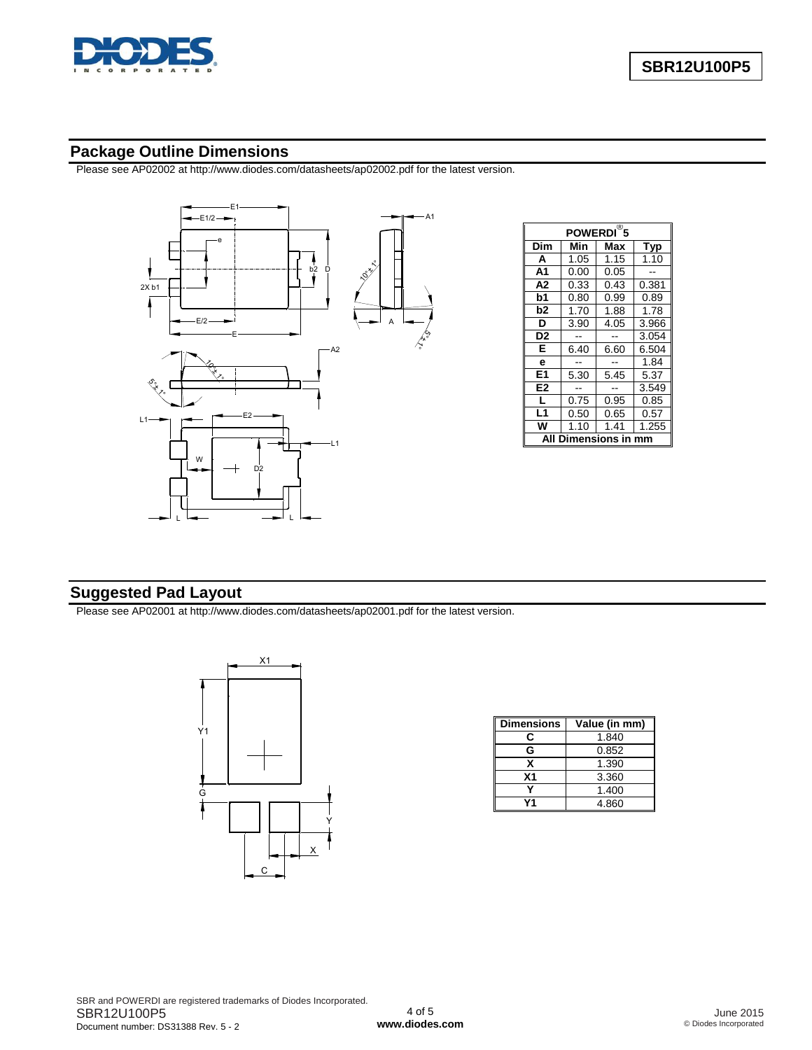

## **Package Outline Dimensions**

Please see AP02002 at [http://www.diodes.com/datasheets/ap02002.pdf fo](http://www.diodes.com/datasheets/ap02002.pdf)r the latest version.



| $\overline{\mathcal{B}}_5$<br><b>POWERDI</b> |      |      |       |  |  |
|----------------------------------------------|------|------|-------|--|--|
| Dim                                          | Min  | Max  | Typ   |  |  |
| A                                            | 1.05 | 1.15 | 1.10  |  |  |
| A <sub>1</sub>                               | 0.00 | 0.05 |       |  |  |
| А2                                           | 0.33 | 0.43 | 0.381 |  |  |
| b1                                           | 0.80 | 0.99 | 0.89  |  |  |
| b2                                           | 1.70 | 1.88 | 1.78  |  |  |
| D                                            | 3.90 | 4.05 | 3.966 |  |  |
| D <sub>2</sub>                               |      |      | 3.054 |  |  |
| E                                            | 6.40 | 6.60 | 6.504 |  |  |
| e                                            |      |      | 1.84  |  |  |
| E <sub>1</sub>                               | 5.30 | 5.45 | 5.37  |  |  |
| E2                                           |      |      | 3.549 |  |  |
| L                                            | 0.75 | 0.95 | 0.85  |  |  |
| L1                                           | 0.50 | 0.65 | 0.57  |  |  |
| w                                            | 1.10 | 1.41 | 1.255 |  |  |
| Dimensions i                                 |      |      |       |  |  |

# **Suggested Pad Layout**

Please see AP02001 at [http://www.diodes.com/datasheets/ap02001.pdf fo](http://www.diodes.com/datasheets/ap02001.pdf)r the latest version.



| <b>Dimensions</b> | Value (in mm) |
|-------------------|---------------|
| С                 | 1.840         |
| G                 | 0.852         |
| х                 | 1.390         |
| Χ1                | 3.360         |
|                   | 1.400         |
|                   | 4.860         |